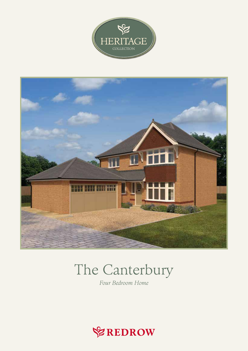



# The Canterbury

Four Bedroom Home